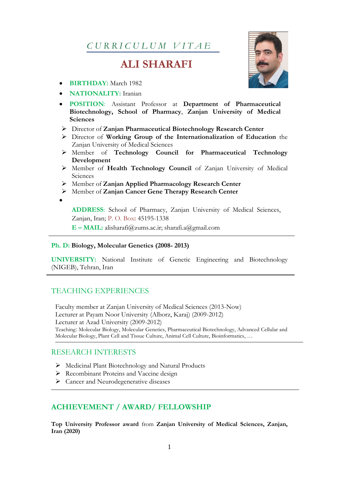*C U R R I C U L U M V I T A E*

# **ALI SHARAFI**

- **BIRTHDAY:** March 1982
- **NATIONALITY:** Iranian
- **POSITION**: Assistant Professor at **Department of Pharmaceutical Biotechnology, School of Pharmacy**, **Zanjan University of Medical Sciences**
- Director of **Zanjan Pharmaceutical Biotechnology Research Center**
- Director of **Working Group of the Internationalization of Education** the Zanjan University of Medical Sciences
- Member of **Technology Council for Pharmaceutical Technology Development**
- Member of **Health Technology Council** of Zanjan University of Medical Sciences
- Member of **Zanjan Applied Pharmacology Research Center**
- Member of **Zanjan Cancer Gene Therapy Research Center**
- $\bullet$

**ADDRESS**: School of Pharmacy, Zanjan University of Medical Sciences, Zanjan, Iran; P. O. Box**:** 45195-1338

**E – MAIL:** alisharafi@zums.ac.ir; [sharafi.a@gmail.com](mailto:sharafi.a@gmail.com)

#### **Ph. D: Biology, Molecular Genetics (2008- 2013)**

**UNIVERSITY:** National Institute of Genetic Engineering and Biotechnology (NIGEB), Tehran, Iran

## TEACHING EXPERIENCES

Faculty member at Zanjan University of Medical Sciences (2013-Now) Lecturer at Payam Noor University (Alborz, Karaj) (2009-2012) Lecturer at Azad University (2009-2012) Teaching: Molecular Biology, Molecular Genetics, Pharmaceutical Biotechnology, Advanced Cellular and Molecular Biology, Plant Cell and Tissue Culture, Animal Cell Culture, Bioinformatics, …

#### RESEARCH INTERESTS

- Medicinal Plant Biotechnology and Natural Products
- Recombinant Proteins and Vaccine design
- $\triangleright$  Cancer and Neurodegenerative diseases

## **ACHIEVEMENT / AWARD/ FELLOWSHIP**

**Top University Professor award** from **Zanjan University of Medical Sciences, Zanjan, Iran (2020)**

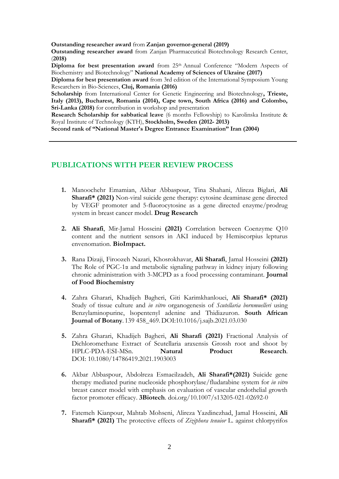**Outstanding researcher award** from **Zanjan governor-general (2019)**

**Outstanding researcher award** from Zanjan Pharmaceutical Biotechnology Research Center, (**2018)**

**Diploma for best presentation award** from 25th Annual Conference "Modern Aspects of Biochemistry and Biotechnology" **National Academy of Sciences of Ukraine (2017)**

**Diploma for best presentation award** from 3rd edition of the International Symposium Young Researchers in Bio-Sciences, **Cluj, Romania (2016)**

**Scholarship** from International Center for Genetic Engineering and Biotechnology**, Trieste, Italy (2013), Bucharest, Romania (2014), Cape town, South Africa (2016) and Colombo, Sri-Lanka (2018)** for contribution in workshop and presentation

**Research Scholarship for sabbatical leave** (6 months Fellowship) to Karolinska Institute & Royal Institute of Technology (KTH), **Stockholm, Sweden (2012- 2013)**

**Second rank of "National Master's Degree Entrance Examination" Iran (2004)**

### **PUBLICATIONS WITH PEER REVIEW PROCESS**

- **1.** Manoochehr Emamian, Akbar Abbaspour, Tina Shahani, Alireza Biglari, **Ali Sharafi\* (2021)** Non-viral suicide gene therapy: cytosine deaminase gene directed by VEGF promoter and 5-fluorocytosine as a gene directed enzyme/prodrug system in breast cancer model. **Drug Research**
- **2. Ali Sharafi**, Mir-Jamal Hosseini **(2021)** Correlation between Coenzyme Q10 content and the nutrient sensors in AKI induced by Hemiscorpius lepturus envenomation. **BioImpact.**
- **3.** Rana Dizaji, Firoozeh Nazari, Khosrokhavar, **Ali Sharafi**, Jamal Hosseini **(2021)** The Role of PGC-1α and metabolic signaling pathway in kidney injury following chronic administration with 3-MCPD as a food processing contaminant. **Journal of Food Biochemistry**
- **4.** Zahra Gharari, Khadijeh Bagheri, Giti Karimkhanlouei, **Ali Sharafi\* (2021)** Study of tissue culture and *in vitro* organogenesis of *Scutellaria bornmuelleri* using Benzylaminopurine, lsopentenyl adenine and Thidiazuron. **South African Journal of Botany**. 139 458\_469.DOI:10.1016/j.sajb.2021.03.030
- **5.** Zahra Gharari, Khadijeh Bagheri, **Ali Sharafi (2021)** Fractional Analysis of Dichloromethane Extract of Scutellaria araxensis Grossh root and shoot by HPLC-PDA-ESI-MSn. **Natural Product Research**. DOI: 10.1080/14786419.2021.1903003
- **6.** Akbar Abbaspour, Abdolreza Esmaeilzadeh, **Ali Sharafi\*(2021)** Suicide gene therapy mediated purine nucleoside phosphorylase/fludarabine system for *in vitro* breast cancer model with emphasis on evaluation of vascular endothelial growth factor promoter efficacy. **3Biotech**. doi.org/10.1007/s13205-021-02692-0
- **7.** Fatemeh Kianpour, Mahtab Mohseni, Alireza Yazdinezhad, Jamal Hosseini, **Ali Sharafi\* (2021)** The protective effects of *Ziziphora tenuior* L. against chlorpyrifos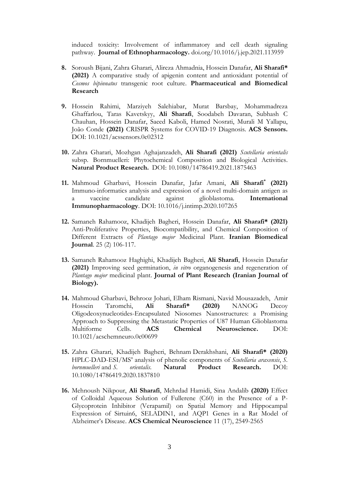induced toxicity: Involvement of inflammatory and cell death signaling pathway. **Journal of Ethnopharmacology.** doi.org/10.1016/j.jep.2021.113959

- **8.** Soroush Bijani, Zahra Gharari, Alireza Ahmadnia, Hossein Danafar, **Ali Sharafi\* (2021)** A comparative study of apigenin content and antioxidant potential of *Cosmos bipinnatus* transgenic root culture. **Pharmaceutical and Biomedical Research**
- **9.** Hossein Rahimi, Marziyeh Salehiabar, Murat Barsbay, Mohammadreza Ghaffarlou, Taras Kavetskyy, **Ali Sharafi**, Soodabeh Davaran, Subhash C Chauhan, Hossein Danafar, Saeed Kaboli, Hamed Nosrati, Murali M Yallapu, João Conde **(2021)** CRISPR Systems for COVID-19 Diagnosis. **ACS Sensors.**  DOI: 10.1021/acssensors.0c02312
- **10.** Zahra Gharari, Mozhgan Aghajanzadeh, **Ali Sharafi (2021)** *Scutellaria orientalis* subsp. Bornmuelleri: Phytochemical Composition and Biological Activities. **Natural Product Research.** DOI: 10.1080/14786419.2021.1875463
- **11.** Mahmoud Gharbavi, Hossein Danafar, Jafar Amani, **Ali Sharafi\* (2021)**  Immuno-informatics analysis and expression of a novel multi-domain antigen as a vaccine candidate against glioblastoma. **International Immunopharmacology**. DOI: 10.1016/j.intimp.2020.107265
- **12.** Samaneh Rahamooz, Khadijeh Bagheri, Hossein Danafar, **Ali Sharafi\* (2021)**  Anti-Proliferative Properties, Biocompatibility, and Chemical Composition of Different Extracts of *Plantago major* Medicinal Plant. **Iranian Biomedical Journal**. 25 (2) 106-117.
- **13.** Samaneh Rahamooz Haghighi, Khadijeh Bagheri, **Ali Sharafi**, Hossein Danafar **(2021)** Improving seed germination, *in vitro* organogenesis and regeneration of *Plantago major* medicinal plant. **Journal of Plant Research (Iranian Journal of Biology).**
- **14.** Mahmoud Gharbavi, Behrooz Johari, Elham Rismani, Navid Mousazadeh, Amir Hossein Taromchi, **Ali Sharafi\* (2020)** NANOG Decoy Oligodeoxynucleotides-Encapsulated Niosomes Nanostructures: a Promising Approach to Suppressing the Metastatic Properties of U87 Human Glioblastoma Multiforme Cells. **ACS Chemical Neuroscience.** DOI: 10.1021/acschemneuro.0c00699
- **15.** Zahra Gharari, Khadijeh Bagheri, Behnam Derakhshani, **Ali Sharafi\* (2020)** HPLC-DAD-ESI/MS<sup>n</sup> analysis of phenolic components of *Scutellaria araxensis*, *S*. *bornmuelleri* and *S. orientalis.* **Natural Product Research.** [DOI:](https://doi.org/10.1080/14786419.2020.1837810)  [10.1080/14786419.2020.1837810](https://doi.org/10.1080/14786419.2020.1837810)
- **16.** Mehnoush Nikpour, **Ali Sharafi**, Mehrdad Hamidi, Sina Andalib **(2020)** Effect of Colloidal Aqueous Solution of Fullerene (C60) in the Presence of a P-Glycoprotein Inhibitor (Verapamil) on Spatial Memory and Hippocampal Expression of Sirtuin6, SELADIN1, and AQP1 Genes in a Rat Model of Alzheimer's Disease. **ACS Chemical Neuroscience** 11 (17), 2549-2565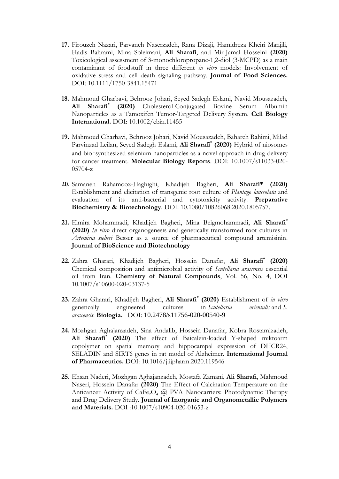- **17.** Firouzeh Nazari, Parvaneh Naserzadeh, Rana Dizaji, Hamidreza Kheiri Manjili, Hadis Bahrami, Mina Soleimani, **Ali Sharafi**, and Mir-Jamal Hosseini **(2020)**  Toxicological assessment of 3-monochloropropane-1,2-diol (3-MCPD) as a main contaminant of foodstuff in three different *in vitro* models: Involvement of oxidative stress and cell death signaling pathway. **Journal of Food Sciences.** DOI: 10.1111/1750-3841.15471
- **18.** Mahmoud Gharbavi, Behrooz Johari, Seyed Sadegh Eslami, Navid Mousazadeh, **Ali Sharafi\* (2020)** Cholesterol-Conjugated Bovine Serum Albumin Nanoparticles as a Tamoxifen Tumor-Targeted Delivery System. **Cell Biology International.** DOI: 10.1002/cbin.11455
- **19.** Mahmoud Gharbavi, Behrooz Johari, Navid Mousazadeh, Bahareh Rahimi, Milad Parvinzad Leilan, Seyed Sadegh Eslami, **Ali Sharafi\* (2020)** Hybrid of niosomes and bio‑synthesized selenium nanoparticles as a novel approach in drug delivery for cancer treatment. **Molecular Biology Reports**. DOI: 10.1007/s11033-020- 05704-z
- **20.** Samaneh Rahamooz-Haghighi, Khadijeh Bagheri, **Ali Sharafi\* (2020)** Establishment and elicitation of transgenic root culture of *Plantago lanceolata* and evaluation of its anti-bacterial and cytotoxicity activity. **Preparative Biochemistry & Biotechnology**. DOI: 10.1080/10826068.2020.1805757.
- **21.** Elmira Mohammadi, Khadijeh Bagheri, Mina Beigmohammadi, **Ali Sharafi\* (2020)** *In vitro* direct organogenesis and genetically transformed root cultures in *Artemisia sieberi* Besser as a source of pharmaceutical compound artemisinin. **Journal of BioScience and Biotechnology**
- **22.** Zahra Gharari, Khadijeh Bagheri, Hossein Danafar, **Ali Sharafi\* (2020)** Chemical composition and antimicrobial activity of *Scutellaria araxensis* essential oil from Iran. **Chemistry of Natural Compounds**, Vol. 56, No. 4, DOI 10.1007/s10600-020-03137-5
- **23.** Zahra Gharari, Khadijeh Bagheri, **Ali Sharafi\* (2020)** Establishment of *in vitro* genetically engineered cultures in *Scutellaria orientalis* and *S. araxensis*. **Biologia.** DOI: [10.2478/s11756-020-00540-9](https://doi.org/10.2478/s11756-020-00540-9)
- **24.** Mozhgan Aghajanzadeh, Sina Andalib, Hossein Danafar, Kobra Rostamizadeh, **Ali Sharafi\* (2020)** The effect of Baicalein-loaded Y-shaped miktoarm copolymer on spatial memory and hippocampal expression of DHCR24, SELADIN and SIRT6 genes in rat model of Alzheimer. **International Journal of Pharmaceutics.** DOI: 10.1016/j.ijpharm.2020.119546
- **25.** Ehsan Naderi, Mozhgan Aghajanzadeh, Mostafa Zamani, **Ali Sharafi**, Mahmoud Naseri, Hossein Danafar **(2020)** The Effect of Calcination Temperature on the Anticancer Activity of CaFe<sub>2</sub>O<sub>4</sub> @ PVA Nanocarriers: Photodynamic Therapy and Drug Delivery Study. **Journal of Inorganic and Organometallic Polymers and Materials.** DOI :10.1007/s10904-020-01653-z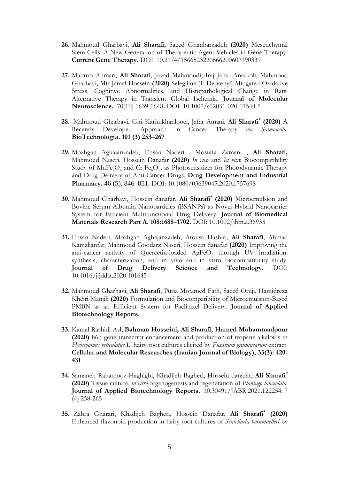- **26.** Mahmoud Gharbavi, **Ali Sharafi,** Saeed Ghanbarzadeh **(2020)** Mesenchymal Stem Cells: A New Generation of Therapeutic Agent Vehicles in Gene Therapy. **Current Gene Therapy.** DOI: 10.2174/1566523220666200607190339
- **27.** Mahroo Ahmari, **Ali Sharafi**, Javad Mahmoudi, Iraj Jafari-Anarkoli, Mahmoud Gharbavi, Mir-Jamal Hossein **(2020)** Selegiline (L-Deprenyl) Mitigated Oxidative Stress, Cognitive Abnormalities, and Histopathological Change in Rats: Alternative Therapy in Transient Global Ischemia. **Journal of Molecular Neuroscience.** 70(10) 1639-1648**.** DOI: 10.1007/s12031-020-01544-5
- **28.** Mahmoud Gharbavi, Giti Karimkhanlooei, Jafar Amani, **Ali Sharafi\* (2020)** A Recently Developed Approach in Cancer Therapy *via Salmonella*. **BioTechnologia. 101 (3) 253–267**
- **29.** Mozhgan Aghajanzadeh, Ehsan Naderi , Mostafa Zamani , **Ali Sharafi,**  Mahmoud Naseri, Hossein Danafar **(2020)** *In vivo* and *In vitro* Biocompatibility Study of  $MnFe<sub>2</sub>O<sub>4</sub>$  and  $Cr<sub>2</sub>Fe<sub>6</sub>O<sub>12</sub>$  as Photosensitizer for Photodynamic Therapy and Drug Delivery of Anti-Cancer Drugs. **Drug Development and Industrial Pharmacy.** 46 (5), 846–851. DOI: 10.1080/03639045.2020.1757698
- **30.** Mahmoud Gharbavi, Hossein danafar, **Ali Sharafi\* (2020)** Microemulsion and Bovine Serum Albumin Nanoparticles (BSANPs) as Novel Hybrid Nanocarrier System for Efficient Multifunctional Drug Delivery. **Journal of Biomedical Materials Research Part A. 108:1688–1702.** DOI: 10.1002/jbm.a.36935
- **31.** Ehsan Naderi, Mozhgan Aghajanzadeh, Atousa Hashiri, **Ali Sharafi**, Ahmad Kamalianfar, Mahmoud Goodarz Naseri, Hossein danafar **(2020)** Improving the anti-cancer activity of Quercetin-loaded  $AgFeO<sub>2</sub>$  through UV irradiation: synthesis, characterization, and in vivo and in vitro biocompatibility study. **Journal of Drug Delivery Science and Technology.** DOI: 10.1016/j.jddst.2020.101645
- **32.** Mahmoud Gharbavi, **Ali Sharafi**, Puria Motamed Fath, Saeed Oruji, Hamidreza Kheiri Manjili **(2020)** Formulation and Biocompatibility of Microemulsion-Based PMBN as an Efficient System for Paclitaxel Delivery. **Journal of Applied Biotechnology Reports.**
- **33.** [Kamal Rashidi Asl,](http://cell.ijbio.ir/?_action=article&au=17968&_au=Kamal++Rashidi+Asl) **Bahman Hosseini, [Ali Sharafi,](http://cell.ijbio.ir/?_action=article&au=13827&_au=ali++sharafi) Hamed Mohammadpour (2020)** h6h gene transcript enhancement and production of tropane alkaloids in *Hyoscyamus reticulatus* L. hairy root cultures elicited by *Fusarium graminearum* extract. **Cellular and Molecular Researches (Iranian Journal of Biology), 33(3): 420- 431**
- **34.** Samaneh Rahamooz-Haghighi, Khadijeh Bagheri, Hossein danafar, **Ali Sharafi\* (2020)** Tissue culture, *in vitro* organogenesis and regeneration of *Plantago lanceolata*. **Journal of Applied Biotechnology Reports.** 10.30491/JABR.2021.122254. 7 (4) 258-265
- **35.** [Zahra](https://www.sciencedirect.com/science/article/pii/S2095754819300274?via%3Dihub#!) Gharari, Khadijeh [Bagheri, H](https://www.sciencedirect.com/science/article/pii/S2095754819300274?via%3Dihub#!)ossein [Danafar,](https://www.sciencedirect.com/science/article/pii/S2095754819300274?via%3Dihub#!) **Ali [Sharafi](https://www.sciencedirect.com/science/article/pii/S2095754819300274?via%3Dihub#!)\* (2020)** Enhanced flavonoid production in hairy root cultures of *Scutellaria bornmuelleri* by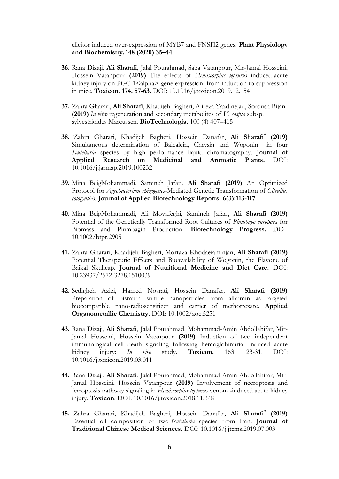elicitor induced over-expression of MYB7 and FNSП2 genes. **Plant Physiology and Biochemistry.148 (2020) 35–44**

- **36.** Rana Dizaji, **Ali Sharafi**, Jalal Pourahmad, Saba Vatanpour, Mir-Jamal Hosseini, Hossein Vatanpour **(2019)** The effects of *Hemiscorpius lepturus* induced-acute kidney injury on PGC-1<alpha> gene expression: from induction to suppression in mice. **Toxicon. 174. 57-63.** DOI: 10.1016/j.toxicon.2019.12.154
- **37.** Zahra Gharari, **Ali Sharafi**, Khadijeh Bagheri, Alireza Yazdinejad, Soroush Bijani **(2019)** *In vitro* regeneration and secondary metabolites of *V. caspia* subsp. sylvestrioides Marcussen. **BioTechnologia.** 100 (4) 407–415
- **38.** [Zahra](https://www.sciencedirect.com/science/article/pii/S2095754819300274?via%3Dihub#!) Gharari, Khadijeh [Bagheri, H](https://www.sciencedirect.com/science/article/pii/S2095754819300274?via%3Dihub#!)ossein [Danafar,](https://www.sciencedirect.com/science/article/pii/S2095754819300274?via%3Dihub#!) **Ali [Sharafi](https://www.sciencedirect.com/science/article/pii/S2095754819300274?via%3Dihub#!)\* (2019)** Simultaneous determination of Baicalein, Chrysin and Wogonin in four *Scutellaria* species by high performance liquid chromatography. **Journal of Applied Research on Medicinal and Aromatic Plants.** DOI: 10.1016/j.jarmap.2019.100232
- **39.** Mina BeigMohammadi, Samineh Jafari, **Ali Sharafi (2019)** An Optimized Protocol for *Agrobacterium rhizogenes*-Mediated Genetic Transformation of *Citrullus colocynthis.* **Journal of Applied Biotechnology Reports. 6(3):113-117**
- **40.** Mina BeigMohammadi, Ali Movafeghi, Samineh Jafari, **Ali Sharafi (2019)**  Potential of the Genetically Transformed Root Cultures of *Plumbago europaea* for Biomass and Plumbagin Production. **Biotechnology Progress.** DOI: 10.1002/btpr.2905
- **41.** Zahra Gharari, Khadijeh Bagheri, Mortaza Khodaeiaminjan, **Ali Sharafi (2019)**  Potential Therapeutic Effects and Bioavailability of Wogonin, the Flavone of Baikal Skullcap. **Journal of Nutritional Medicine and Diet Care.** DOI: 10.23937/2572-3278.1510039
- **42.** Sedigheh Azizi, Hamed Nosrati, Hossein Danafar, **Ali Sharafi (2019)** Preparation of bismuth sulfide nanoparticles from albumin as targeted biocompatible nano-radiosensitizer and carrier of methotrexate. **Applied Organometallic Chemistry.** DOI: 10.1002/aoc.5251
- **43.** Rana Dizaji, **Ali Sharafi**, Jalal Pourahmad, Mohammad-Amin Abdollahifar, Mir-Jamal Hosseini, Hossein Vatanpour **(2019)** Induction of two independent immunological cell death signaling following hemoglobinuria -induced acute kidney injury: *In vivo* study. **Toxicon.** 163. 23-31. DOI: 10.1016/j.toxicon.2019.03.011
- **44.** Rana Dizaji, **Ali Sharafi**, Jalal Pourahmad, Mohammad-Amin Abdollahifar, Mir-Jamal Hosseini, Hossein Vatanpour **(2019)** Involvement of necroptosis and ferroptosis pathway signaling in *Hemiscorpius lepturus* venom -induced acute kidney injury. **Toxicon**. DOI: 10.1016/j.toxicon.2018.11.348
- **45.** [Zahra](https://www.sciencedirect.com/science/article/pii/S2095754819300274?via%3Dihub#!) Gharari, Khadijeh [Bagheri, H](https://www.sciencedirect.com/science/article/pii/S2095754819300274?via%3Dihub#!)ossein [Danafar,](https://www.sciencedirect.com/science/article/pii/S2095754819300274?via%3Dihub#!) **Ali [Sharafi](https://www.sciencedirect.com/science/article/pii/S2095754819300274?via%3Dihub#!)\* (2019)** Essential oil composition of two *Scutellaria* species from Iran. **[Journal of](https://www.sciencedirect.com/science/journal/20957548)  [Traditional Chinese Medical Sciences.](https://www.sciencedirect.com/science/journal/20957548)** [DOI: 10.1016/j.jtcms.2019.07.003](https://doi.org/10.1016/j.jtcms.2019.07.003)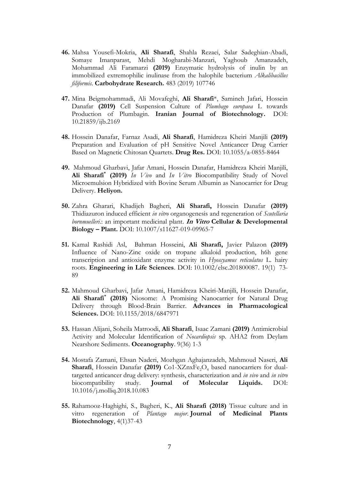- **46.** Mahsa Yousefi-Mokria, **Ali Sharafi**, Shahla Rezaei, Salar Sadeghian-Abadi, Somaye Imanparast, Mehdi Mogharabi-Manzari, Yaghoub Amanzadeh, Mohammad Ali Faramarzi **(2019)** Enzymatic hydrolysis of inulin by an immobilized extremophilic inulinase from the halophile bacterium *Alkalibacillus filiformis*. **Carbohydrate Research.** 483 (2019) 107746
- **47.** Mina Beigmohammadi, Ali Movafeghi, **Ali Sharafi**\*, Samineh Jafari, Hossein Danafar **(2019)** Cell Suspension Culture of *Plumbago europaea* L towards Production of Plumbagin. **Iranian Journal of Biotechnology.** DOI: 10.21859/ijb.2169
- **48.** Hossein Danafar, Farnaz Asadi, **Ali Sharafi**, Hamidreza Kheiri Manjili **(2019)** Preparation and Evaluation of pH Sensitive Novel Anticancer Drug Carrier Based on Magnetic Chitosan Quartets. **Drug Res.** DOI: 10.1055/a-0855-8464
- **49.** Mahmoud Gharbavi, Jafar Amani, Hossein Danafar, Hamidreza Kheiri Manjili, **Ali Sharafi\* (2019)** *In Vivo* and *In Vitro* Biocompatibility Study of Novel Microemulsion Hybridized with Bovine Serum Albumin as Nanocarrier for Drug Delivery. **Heliyon.**
- **50.** Zahra Gharari, Khadijeh Bagheri, **Ali Sharafi,** Hossein Danafar **(2019)** Thidiazuron induced efficient *in vitro* organogenesis and regeneration of *Scutellaria bornmuelleri*.: an important medicinal plant. **In Vitro Cellular & Developmental Biology – Plant.** DOI: 10.1007/s11627-019-09965-7
- **51.** Kamal Rashidi Asl, Bahman Hosseini, **Ali Sharafi,** Javier Palazon **(2019)** Influence of Nano-Zinc oxide on tropane alkaloid production, h6h gene transcription and antioxidant enzyme activity in *Hyoscyamus reticulatus* L. hairy roots. **Engineering in Life Sciences**. DOI: 10.1002/elsc.201800087. 19(1) 73- 89
- **52.** Mahmoud Gharbavi, Jafar Amani, Hamidreza Kheiri-Manjili, Hossein Danafar, **Ali Sharafi\* (2018)** Niosome: A Promising Nanocarrier for Natural Drug Delivery through Blood-Brain Barrier. **Advances in Pharmacological Sciences.** DOI: 10.1155/2018/6847971
- **53.** Hassan Alijani, Soheila Matroodi, **Ali Sharafi**, Isaac Zamani **(2019)** Antimicrobial Activity and Molecular Identification of *Nocardiopsis* sp. AHA2 from Deylam Nearshore Sediments. **Oceanography**. 9(36) 1-3
- **54.** Mostafa Zamani, Ehsan Naderi, Mozhgan Aghajanzadeh, Mahmoud Naseri, **Ali Sharafi**, Hossein Danafar (2019) Co1-XZnxFe<sub>2</sub>O<sub>4</sub> based nanocarriers for dualtargeted anticancer drug delivery: synthesis, characterization and *in vivo* and *in vitro* biocompatibility study. **Journal of Molecular Liquids.** DOI: 10.1016/j.molliq.2018.10.083
- **55.** Rahamooz-Haghighi, S., Bagheri, K., **Ali Sharafi (2018)** Tissue culture and in vitro regeneration of *Plantago major*. **Journal of Medicinal Plants Biotechnology**, 4(1)37-43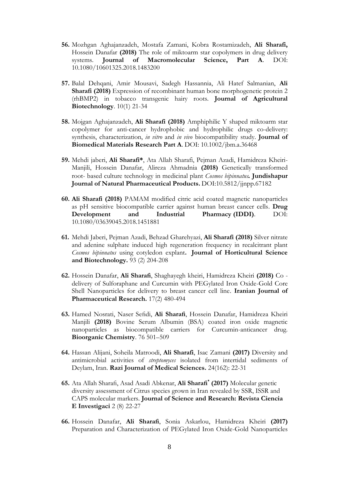- **56.** Mozhgan Aghajanzadeh, Mostafa Zamani, Kobra Rostamizadeh, **Ali Sharafi,** Hossein Danafar **(2018)** The role of miktoarm star copolymers in drug delivery systems. **Journal of Macromolecular Science, Part A**. DOI: 10.1080/10601325.2018.1483200
- **57.** Balal Dehqani, Amir Mousavi, Sadegh Hassannia, Ali Hatef Salmanian, **Ali Sharafi (2018)** Expression of recombinant human bone morphogenetic protein 2 (rhBMP2) in tobacco transgenic hairy roots. **Journal of Agricultural Biotechnology**. 10(1) 21-34
- **58.** Mojgan Aghajanzadeh, **Ali Sharafi (2018)** Amphiphilic Y shaped miktoarm star copolymer for anti-cancer hydrophobic and hydrophilic drugs co-delivery: synthesis, characterization, *in vitro* and *in vivo* biocompatibility study. **Journal of Biomedical Materials Research Part A**. DOI: 10.1002/jbm.a.36468
- **59.** Mehdi jaberi, **Ali Sharafi\***, Ata Allah Sharafi, Pejman Azadi, Hamidreza Kheiri-Manjili, Hossein Danafar, Alireza Ahmadnia **(2018)** Genetically transformed root- based culture technology in medicinal plant *Cosmos bipinnatus.* **Jundishapur Journal of Natural Pharmaceutical Products.** DOI:10.5812/jjnpp.67182
- **60. Ali Sharafi (2018)** PAMAM modified citric acid coated magnetic nanoparticles as pH sensitive biocompatible carrier against human breast cancer cells. **Drug Development and Industrial Pharmacy (IDDI)**. DOI: 10.1080/03639045.2018.1451881
- **61.** Mehdi Jaberi, Pejman Azadi, Behzad Gharehyazi, **Ali Sharafi (2018)** Silver nitrate and adenine sulphate induced high regeneration frequency in recalcitrant plant *Cosmos bipinnatus* using cotyledon explant**. Journal of Horticultural Science and Biotechnology.** 93 (2) 204-208
- **62.** Hossein Danafar, **Ali Sharafi**, Shaghayegh kheiri, Hamidreza Kheiri **(2018)** Co delivery of Sulforaphane and Curcumin with PEGylated Iron Oxide-Gold Core Shell Nanoparticles for delivery to breast cancer cell line. **Iranian Journal of Pharmaceutical Research.** 17(2) 480-494
- **63.** Hamed Nosrati, Naser Sefidi, **Ali Sharafi**, Hossein Danafar, Hamidreza Kheiri Manjili **(2018)** Bovine Serum Albumin (BSA) coated iron oxide magnetic nanoparticles as biocompatible carriers for Curcumin-anticancer drug. **Bioorganic Chemistry**. 76 501–509
- **64.** Hassan Alijani, Soheila Matroodi, **Ali Sharafi**, Isac Zamani **(2017)** Diversity and antimicrobial activities of *streptomyces* isolated from intertidal sediments of Deylam, Iran. **Razi Journal of Medical Sciences.** 24(162): 22-31
- **65.** Ata Allah Sharafi, Asad Asadi Abkenar, **Ali Sharafi\* (2017)** Molecular genetic diversity assessment of Citrus species grown in Iran revealed by SSR, ISSR and CAPS molecular markers. **Journal of Science and Research: Revista Ciencia E Investigaci** 2 (8) 22-27
- **66.** Hossein Danafar, **Ali Sharafi**, Sonia Askarlou, Hamidreza Kheiri **(2017)** Preparation and Characterization of PEGylated Iron Oxide-Gold Nanoparticles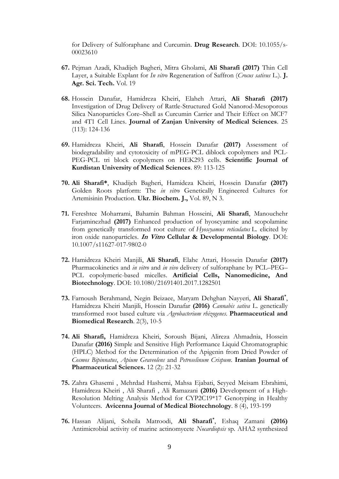for Delivery of Sulforaphane and Curcumin. **Drug Research**. DOI: 10.1055/s-00023610

- **67.** Pejman Azadi, Khadijeh Bagheri, Mitra Gholami, **Ali Sharafi (2017)** Thin Cell Layer, a Suitable Explant for *In vitro* Regeneration of Saffron (*Crocus sativus* L.). **J. Agr. Sci. Tech.** Vol. 19
- **68.** Hossein Danafar, Hamidreza Kheiri, Elaheh Attari, **Ali Sharafi (2017)**  Investigation of Drug Delivery of Rattle-Structured Gold Nanorod-Mesoporous Silica Nanoparticles Core–Shell as Curcumin Carrier and Their Effect on MCF7 and 4T1 Cell Lines. **Journal of Zanjan University of Medical Sciences**. 25 (113): 124-136
- **69.** Hamidreza Kheiri, **Ali Sharafi**, Hossein Danafar **(2017)** Assessment of biodegradability and cytotoxicity of mPEG-PCL diblock copolymers and PCL-PEG-PCL tri block copolymers on HEK293 cells. **Scientific Journal of Kurdistan University of Medical Sciences**. 89: 113-125
- **70. Ali Sharafi\***, Khadijeh Bagheri, Hamideza Kheiri, Hossein Danafar **(2017)** Golden Roots platform: The *in vitro* Genetically Engineered Cultures for Artemisinin Production. **Ukr. Biochem. J.,** Vol. 89, N 3.
- **71.** Fereshtee Moharrami, Bahamin Bahman Hosseini, **Ali Sharafi**, Manouchehr Farjaminezhad **(2017)** Enhanced production of hyoscyamine and scopolamine from genetically transformed root culture of *Hyoscyamus reticulatus* L. elicited by iron oxide nanoparticles. **In Vitro [Cellular & Developmental Biology](https://link.springer.com/journal/11627)**. DOI: 10.1007/s11627-017-9802-0
- **72.** Hamidreza Kheiri Manjili, **Ali Sharafi**, Elahe Attari, Hossein Danafar **(2017)** Pharmacokinetics and *in vitro* and *in vivo* delivery of sulforaphane by PCL–PEG– PCL copolymeric-based micelles. **Artificial Cells, Nanomedicine, And Biotechnology**. DOI: 10.1080/21691401.2017.1282501
- **73.** Farnoush Berahmand, Negin Beizaee, Maryam Dehghan Nayyeri, **Ali Sharafi\*** , Hamidreza Kheiri Manjili, Hossein Danafar **(2016)** *[Cannabis sativa](http://pbr.mazums.ac.ir/browse.php?a_id=122&sid=1&slc_lang=en)* L. genetically [transformed root based culture via](http://pbr.mazums.ac.ir/browse.php?a_id=122&sid=1&slc_lang=en) *Agrobacterium rhizogenes*. **Pharmaceutical and Biomedical Research**. 2(3), 10-5
- **74. Ali Sharafi,** Hamidreza Kheiri, Soroush Bijani, Alireza Ahmadnia, Hossein Danafar **(2016)** Simple and Sensitive High Performance Liquid Chromatographic (HPLC) Method for the Determination of the Apigenin from Dried Powder of *Cosmos Bipinnatus*, *Apium Graveolens* and *Petroselinum Crispum.* **Iranian Journal of Pharmaceutical Sciences.** 12 (2): 21-32
- **75.** Zahra Ghasemi , Mehrdad Hashemi, Mahsa Ejabati, Seyyed Meisam Ebrahimi, Hamidreza Kheiri , Ali Sharafi , Ali Ramazani **(2016)** Development of a High-Resolution Melting Analysis Method for CYP2C19\*17 Genotyping in Healthy Volunteers. **Avicenna Journal of Medical Biotechnology**. 8 (4), 193-199
- **76.** Hassan Alijani, Soheila Matroodi, **Ali Sharafi\*** , Eshaq Zamani **(2016)** Antimicrobial activity of marine actinomycete *Nocardiopsis* sp. AHA2 synthesized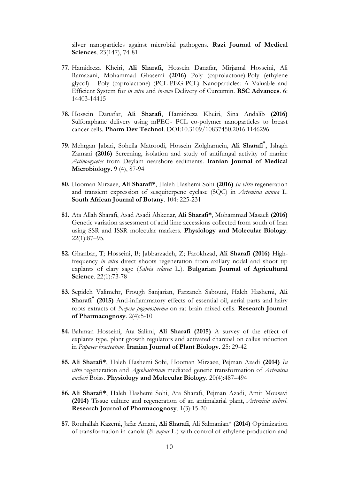silver nanoparticles against microbial pathogens. **Razi Journal of Medical Sciences**. 23(147), 74-81

- **77.** Hamidreza Kheiri, **Ali Sharafi**, Hossein Danafar, Mirjamal Hosseini, Ali Ramazani, Mohammad Ghasemi **(2016)** [Poly \(caprolactone\)-Poly \(ethylene](http://www.ncbi.nlm.nih.gov/pubmed/19427143)  glycol) - [Poly \(caprolactone\) \(PCL-PEG-PCL\) N](http://www.ncbi.nlm.nih.gov/pubmed/19427143)anoparticles: A Valuable and Efficient System for *in vitro* and *in-vivo* Delivery of Curcumin. **RSC Advances**. 6: 14403-14415
- **78.** Hossein Danafar, **Ali Sharafi**, Hamidreza Kheiri, Sina Andalib **(2016)** Sulforaphane delivery using mPEG- PCL co-polymer nanoparticles to breast cancer cells. **Pharm Dev Technol**. DOI:10.3109/10837450.2016.1146296
- **79.** Mehrgan Jabari, Soheila Matroodi, Hossein Zolgharnein, **Ali Sharafi\*** , Ishagh Zamani **(2016)** Screening, isolation and study of antifungal activity of marine *Actinomycetes* from Deylam nearshore sediments. **Iranian Journal of Medical Microbiology.** 9 (4), 87-94
- **80.** Hooman Mirzaee, **Ali Sharafi\***, Haleh Hashemi Sohi **(2016)** *In vitro* regeneration and transient expression of sesquiterpene cyclase (SQC) in *Artemisia annua* L. **South African Journal of Botany**. 104: 225-231
- **81.** Ata Allah Sharafi, Asad Asadi Abkenar, **Ali Sharafi\***, Mohammad Masaeli **(2016)** Genetic variation assessment of acid lime accessions collected from south of Iran using SSR and ISSR molecular markers. **Physiology and Molecular Biology**. 22(1):87–95.
- **82.** Ghanbar, T; Hosseini, B; Jabbarzadeh, Z; Farokhzad, **Ali Sharafi (2016)** [High](https://scholar.google.com/citations?view_op=view_citation&hl=en&user=H8c-tZoAAAAJ&sortby=pubdate&citation_for_view=H8c-tZoAAAAJ:8k81kl-MbHgC)frequency *in vitro* [direct shoots regeneration from axillary nodal and shoot tip](https://scholar.google.com/citations?view_op=view_citation&hl=en&user=H8c-tZoAAAAJ&sortby=pubdate&citation_for_view=H8c-tZoAAAAJ:8k81kl-MbHgC)  [explants of clary sage \(](https://scholar.google.com/citations?view_op=view_citation&hl=en&user=H8c-tZoAAAAJ&sortby=pubdate&citation_for_view=H8c-tZoAAAAJ:8k81kl-MbHgC)*Salvia sclarea* L.). **Bulgarian Journal of Agricultural Science**. 22(1):73-78
- **83.** Sepideh Valimehr, Frough Sanjarian, Farzaneh Sabouni, Haleh Hashemi, **Ali Sharafi\* (2015)** Anti-inflammatory effects of essential oil, aerial parts and hairy roots extracts of *Nepeta pogonosperma* on rat brain mixed cells. **Research Journal of Pharmacognosy**. 2(4):5-10
- **84.** Bahman Hosseini, Ata Salimi, **Ali Sharafi (2015)** A survey of the effect of explants type, plant growth regulators and activated charcoal on callus induction in *Papaver bracteatum.* **Iranian Journal of Plant Biology.** 25: 29-42
- **85. Ali Sharafi\***, Haleh Hashemi Sohi, Hooman Mirzaee, Pejman Azadi **(2014)** *In vitro* regeneration and *Agrobacterium* mediated genetic transformation of *Artemisia aucheri* Boiss. **Physiology and Molecular Biology**. 20(4):487–494
- **86. Ali Sharafi\***, Haleh Hashemi Sohi, Ata Sharafi, Pejman Azadi, Amir Mousavi **(2014)** Tissue culture and regeneration of an antimalarial plant, *Artemisia sieberi*. **Research Journal of Pharmacognosy**. 1(3):15-20
- **87.** Rouhallah Kazemi, Jafar Amani, **Ali Sharafi**, Ali Salmanian\* **(2014)** Optimization of transformation in canola (*B. napus* L.) with control of ethylene production and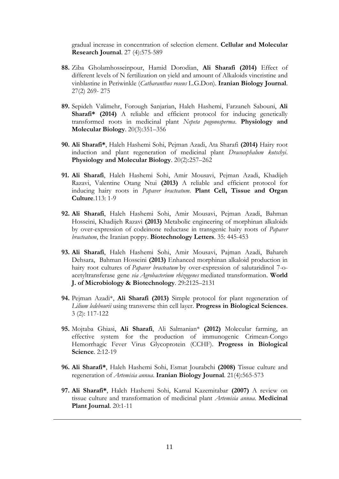gradual increase in concentration of selection element. **Cellular and Molecular Research Journal**. 27 (4):575-589

- **88.** Ziba Gholamhosseinpour, Hamid Dorodian, **Ali Sharafi (2014)** Effect of different levels of N fertilization on yield and amount of Alkaloids vincristine and vinblastine in Periwinkle (*Catharanthus roseus* L.G.Don). **Iranian Biology Journal**. 27(2) 269- 275
- **89.** Sepideh Valimehr, Forough Sanjarian, Haleh Hashemi, Farzaneh Sabouni, **Ali Sharafi\* (2014)** A reliable and efficient protocol for inducing genetically transformed roots in medicinal plant *Nepeta pogonosperma*. **Physiology and Molecular Biology**. 20(3):351–356
- **90. Ali Sharafi\***, Haleh Hashemi Sohi, Pejman Azadi, Ata Sharafi **(2014)** Hairy root induction and plant regeneration of medicinal plant *Dracocephalum kotschyi*. **Physiology and Molecular Biology**. 20(2):257–262
- **91. Ali Sharafi**, Haleh Hashemi Sohi, Amir Mousavi, Pejman Azadi, Khadijeh Razavi, Valentine Otang Ntui **(2013)** A reliable and efficient protocol for inducing hairy roots in *Papaver bracteatum*. **Plant Cell, Tissue and Organ Culture**.113: 1-9
- **92. Ali Sharafi**, Haleh Hashemi Sohi, Amir Mousavi, Pejman Azadi, Bahman Hosseini, Khadijeh Razavi **(2013)** Metabolic engineering of morphinan alkaloids by over-expression of codeinone reductase in transgenic hairy roots of *Papaver bracteatum*, the Iranian poppy. **Biotechnology Letters**. 35: 445-453
- **93. Ali Sharafi**, Haleh Hashemi Sohi, Amir Mousavi, Pajman Azadi, Bahareh Dehsara, Bahman Hosseini **(2013)** Enhanced morphinan alkaloid production in hairy root cultures of *Papaver bracteatum* by over-expression of salutaridinol 7-oacetyltransferase gene *via Agrobacterium rhizogenes* mediated transformation. **World J. of Microbiology & Biotechnology**. 29:2125–2131
- **94.** Pejman Azadi\*, **Ali Sharafi (2013)** Simple protocol for plant regeneration of *Lilium ledebourii* using transverse thin cell layer. **Progress in Biological Sciences**. 3 (2): 117-122
- **95.** Mojtaba Ghiasi, **Ali Sharafi**, Ali Salmanian\* **(2012)** Molecular farming, an effective system for the production of immunogenic Crimean-Congo Hemorrhagic Fever Virus Glycoprotein (CCHF). **Progress in Biological Science**. 2:12-19
- **96. Ali Sharafi\***, Haleh Hashemi Sohi, Esmat Jourabchi **(2008)** Tissue culture and regeneration of *Artemisia annua*. **Iranian Biology Journal**. 21(4):565-573
- **97. Ali Sharafi\***, Haleh Hashemi Sohi, Kamal Kazemitabar **(2007)** A review on tissue culture and transformation of medicinal plant *Artemisia annua*. **Medicinal Plant Journal**. 20:1-11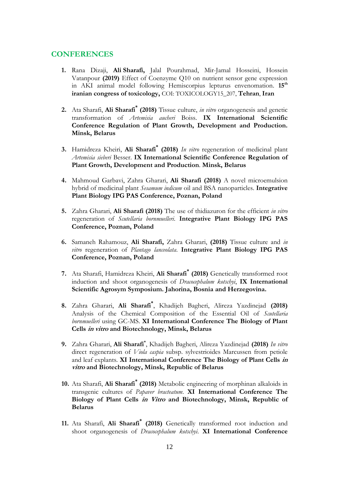#### **CONFERENCES**

- **1.** Rana Dizaji, **Ali [Sharafi,](https://en.civilica.com/search/paper/n-Ali%20Sharafi/)** Jalal Pourahmad, Mir-Jamal Hosseini, Hossein Vatanpour **(2019)** Effect of Coenzyme Q10 on nutrient sensor gene expression in AKI animal model following Hemiscorpius lepturus envenomation. **15th iranian congress of toxicology,** COI: TOXICOLOGY15\_207, **Tehran**, **Iran**
- **2.** Ata Sharafi, **Ali Sharafi\* (2018)** Tissue culture, *in vitro* organogenesis and genetic transformation of *Artemisia aucheri* Boiss. **IX International Scientific Conference Regulation of Plant Growth, Development and Production. Minsk, Belarus**
- **3.** Hamidreza Kheiri, **Ali Sharafi\* (2018)** *In vitro* regeneration of medicinal plant *Artemisia sieberi* Besser. **IX International Scientific Conference Regulation of Plant Growth, Development and Production**. **Minsk, Belarus**
- **4.** Mahmoud Garbavi, Zahra Gharari, **Ali Sharafi (2018)** A novel microemulsion hybrid of medicinal plant *Sesamum indicum* oil and BSA nanoparticles. **Integrative Plant Biology IPG PAS Conference, Poznan, Poland**
- **5.** Zahra Gharari, **Ali Sharafi (2018)** The use of thidiazuron for the efficient *in vitro* regeneration of *Scutellaria bornmuelleri*. **Integrative Plant Biology IPG PAS Conference, Poznan, Poland**
- **6.** Samaneh Rahamouz, **Ali Sharafi,** Zahra Gharari, **(2018)** Tissue culture and *in vitro* regeneration of *Plantago lanceolata*. **Integrative Plant Biology IPG PAS Conference, Poznan, Poland**
- **7.** Ata Sharafi, Hamidreza Kheiri, **Ali Sharafi\* (2018)** Genetically transformed root induction and shoot organogenesis of *Dracocephalum kotschyi*, **IX International Scientific Agrosym Symposium. Jahorina, Bosnia and Herzegovina.**
- **8.** Zahra Gharari, **Ali Sharafi\*** , Khadijeh Bagheri, Alireza Yazdinejad **(2018)** Analysis of the Chemical Composition of the Essential Oil of *Scutellaria bornmuelleri* using GC-MS. **XI International Conference The Biology of Plant Cells in vitro and Biotechnology, Minsk, Belarus**
- **9.** Zahra Gharari, **Ali Sharafi\*** , Khadijeh Bagheri, Alireza Yazdinejad **(2018)** *In vitro* direct regeneration of *Viola caspia* subsp. sylvestrioides Marcussen from petiole and leaf explants. **XI International Conference The Biology of Plant Cells in vitro and Biotechnology, Minsk, Republic of Belarus**
- **10.** Ata Sharafi, **Ali Sharafi\* (2018)** Metabolic engineering of morphinan alkaloids in transgenic cultures of *Papaver bracteatum*. **XI International Conference The Biology of Plant Cells in Vitro and Biotechnology, Minsk, Republic of Belarus**
- **11.** Ata Sharafi, **Ali Sharafi\* (2018)** Genetically transformed root induction and shoot organogenesis of *Dracocephalum kotschyi*. **XI International Conference**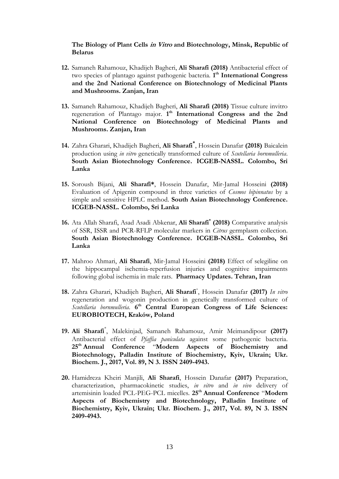#### **The Biology of Plant Cells in Vitro and Biotechnology, Minsk, Republic of Belarus**

- **12.** Samaneh Rahamouz, Khadijeh Bagheri, **Ali Sharafi (2018)** Antibacterial effect of two species of plantago against pathogenic bacteria. **1 th International Congress and the 2nd National Conference on Biotechnology of Medicinal Plants and Mushrooms. Zanjan, Iran**
- **13.** Samaneh Rahamouz, Khadijeh Bagheri, **Ali Sharafi (2018)** Tissue culture invitro regeneration of Plantago major. 1<sup>th</sup> International Congress and the 2nd **National Conference on Biotechnology of Medicinal Plants and Mushrooms. Zanjan, Iran**
- **14.** Zahra Gharari, Khadijeh Bagheri, **Ali Sharafi\*** , Hossein Danafar **(2018)** Baicalein production using *in vitro* genetically transformed culture of *Scutellaria bornmulleria*. **South Asian Biotechnology Conference. ICGEB-NASSL. Colombo, Sri Lanka**
- **15.** Soroush Bijani, **Ali Sharafi\***, Hossein Danafar, Mir-Jamal Hosseini **(2018)** Evaluation of Apigenin compound in three varieties of *Cosmos bipinnatus* by a simple and sensitive HPLC method. **South Asian Biotechnology Conference. ICGEB-NASSL. Colombo, Sri Lanka**
- **16.** Ata Allah Sharafi, Asad Asadi Abkenar, **Ali Sharafi\* (2018)** Comparative analysis of SSR, ISSR and PCR-RFLP molecular markers in *Citrus* germplasm collection. **South Asian Biotechnology Conference. ICGEB-NASSL. Colombo, Sri Lanka**
- **17.** Mahroo Ahmari, **Ali Sharafi**, Mir-Jamal Hosseini **(2018)** Effect of selegiline on the hippocampal ischemia-reperfusion injuries and cognitive impairments following global ischemia in male rats. **Pharmacy Updates. Tehran, Iran**
- **18.** Zahra Gharari, Khadijeh Bagheri, **Ali Sharafi**\* , Hossein Danafar **(2017)** *In vitro*  regeneration and wogonin production in genetically transformed culture of Scutellaria bornmulleria. 6<sup>th</sup> Central European Congress of Life Sciences: **EUROBIOTECH, Kraków, Poland**
- **19. Ali Sharafi**\* , Malekinjad, Samaneh Rahamouz, Amir Meimandipour **(2017)** Antibacterial effect of *Pfaffia paniculata* against some pathogenic bacteria. **25th Annual Conference** "**Modern Aspects of Biochemistry and Biotechnology, Palladin Institute of Biochemistry, Kyiv, Ukrain; Ukr. Biochem. J., 2017, Vol. 89, N 3. ISSN 2409-4943.**
- **20.** Hamidreza Kheiri Manjili, **Ali Sharafi**, Hossein Danafar **(2017)** Preparation, characterization, pharmacokinetic studies, *in vitro* and *in vivo* delivery of artemisinin loaded PCL-PEG-PCL micelles. **25th Annual Conference** "**Modern Aspects of Biochemistry and Biotechnology, Palladin Institute of Biochemistry, Kyiv, Ukrain; Ukr. Biochem. J., 2017, Vol. 89, N 3. ISSN 2409-4943.**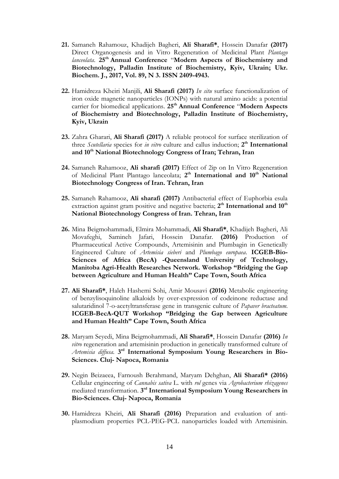- **21.** Samaneh Rahamouz, Khadijeh Bagheri, **Ali Sharafi\***, Hossein Danafar **(2017)** Direct Organogenesis and in Vitro Regeneration of Medicinal Plant *Plantago lanceolata*. **25th Annual Conference** "**Modern Aspects of Biochemistry and Biotechnology, Palladin Institute of Biochemistry, Kyiv, Ukrain; Ukr. Biochem. J., 2017, Vol. 89, N 3. ISSN 2409-4943.**
- **22.** Hamidreza Kheiri Manjili, **Ali Sharafi (2017)** *In situ* surface functionalization of iron oxide magnetic nanoparticles (IONPs) with natural amino acids: a potential carrier for biomedical applications. **25th Annual Conference** "**Modern Aspects of Biochemistry and Biotechnology, Palladin Institute of Biochemistry, Kyiv, Ukrain**
- **23.** Zahra Gharari, **Ali Sharafi (2017)** A reliable protocol for surface sterilization of three *Scutellaria* species for *in vitro* culture and callus induction; **2 th International and 10th National Biotechnology Congress of Iran; Tehran, Iran**
- **24.** Samaneh Rahamooz, **Ali sharafi (2017)** Effect of 2ip on In Vitro Regeneration of Medicinal Plant Plantago lanceolata; 2<sup>th</sup> International and 10<sup>th</sup> National **Biotechnology Congress of Iran. Tehran, Iran**
- **25.** Samaneh Rahamooz, **Ali sharafi (2017)** Antibacterial effect of Euphorbia esula extraction against gram positive and negative bacteria; 2<sup>th</sup> International and 10<sup>th</sup> **National Biotechnology Congress of Iran. Tehran, Iran**
- **26.** Mina Beigmohammadi, Elmira Mohammadi, **Ali Sharafi\***, Khadijeh Bagheri, Ali Movafeghi, Samineh Jafari, Hossein Danafar. **(2016)** Production of Pharmaceutical Active Compounds, Artemisinin and Plumbagin in Genetically Engineered Culture of *Artemisia sieberi* and *Plumbago europaea*. **ICGEB-Bio-Sciences of Africa (BecA) -Queensland University of Technology, Manitoba Agri-Health Researches Network. Workshop "Bridging the Gap between Agriculture and Human Health" Cape Town, South Africa**
- **27. Ali Sharafi\***, Haleh Hashemi Sohi, Amir Mousavi **(2016)** Metabolic engineering of benzylisoquinoline alkaloids by over-expression of codeinone reductase and salutaridinol 7-o-acetyltransferase gene in transgenic culture of *Papaver bracteatum*. **ICGEB-BecA-QUT Workshop "Bridging the Gap between Agriculture and Human Health" Cape Town, South Africa**
- **28.** Maryam Seyedi, Mina Beigmohammadi, **Ali Sharafi\***, Hossein Danafar **(2016)** *In vitro* regeneration and artemisinin production in genetically transformed culture of Artemisia diffusa. 3<sup>rd</sup> International Symposium Young Researchers in Bio-**Sciences. Cluj- Napoca, Romania**
- **29.** Negin Beizaeea, Farnoush Berahmand, Maryam Dehghan, **Ali Sharafi\* (2016)** Cellular engineering of *Cannabis sativa* L. with *rol* genes via *Agrobacterium rhizagenes* mediated transformation. **3 rd International Symposium Young Researchers in Bio-Sciences. Cluj- Napoca, Romania**
- **30.** Hamidreza Kheiri, **Ali Sharafi (2016)** Preparation and evaluation of antiplasmodium properties PCL-PEG-PCL nanoparticles loaded with Artemisinin.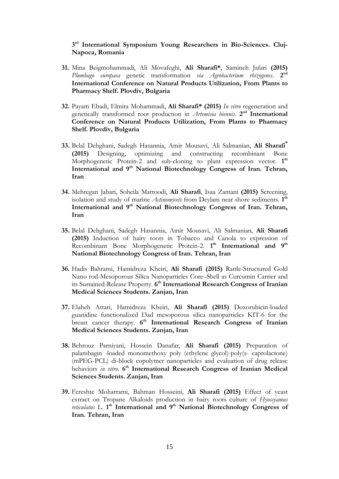#### **3 rd International Symposium Young Researchers in Bio-Sciences. Cluj-Napoca, Romania**

- **31.** Mina Beigmohammadi, Ali Movafeghi, **Ali Sharafi\***, Samineh Jafari **(2015)** *Plumbago europaea* genetic transformation *via Agrobacterium rhizogenes*. **2 nd International Conference on Natural Products Utilization, From Plants to Pharmacy Shelf. Plovdiv, Bulgaria**
- **32.** Payam Ebadi, Elmira Mohammadi, **Ali Sharafi\* (2015)** *In vitro* regeneration and genetically transformed root production in Artemisia biennis. 2<sup>nd</sup> International **Conference on Natural Products Utilization, From Plants to Pharmacy Shelf. Plovdiv, Bulgaria**
- **33.** Belal Dehghani, Sadegh Hasannia, Amir Mousavi, Ali Salmanian, **Ali Sharafi\* (2015)** Designing, optimizing and constructing recombinant Bone Morphogenetic Protein-2 and sub-cloning to plant expression vector. 1<sup>th</sup> **International and 9th National Biotechnology Congress of Iran. Tehran, Iran**
- **34.** Mehregan Jabari, Soheila Matroodi, **Ali Sharafi**, Isaa Zamani **(2015)** Screening, isolation and study of marine *Actinomycets* from Deylam near shore sediments. 1<sup>th</sup> **International and 9th National Biotechnology Congress of Iran. Tehran, Iran**
- **35.** Belal Dehghani, Sadegh Hasannia, Amir Mousavi, Ali Salmanian, **Ali Sharafi (2015)** Induction of hairy roots in Tobacco and Canola to expression of Recombinant Bone Morphogenetic Protein-2. **1 th International and 9th National Biotechnology Congress of Iran. Tehran, Iran**
- **36.** Hadis Bahrami, Hamidreza Kheiri, **Ali Sharafi (2015)** Rattle-Structured Gold Nano rod-Mesoporous Silica Nanoparticles Core–Shell as Curcumin Carrier and its Sustained-Release Property. 6<sup>th</sup> International Research Congress of Iranian **Medical Sciences Students. Zanjan, Iran**
- **37.** Elaheh Attari, Hamidreza Kheiri, **Ali Sharafi (2015)** Doxorubicin-loaded guanidine functionalized I3ad mesoporous silica nanoparticles KIT-6 for the breast cancer therapy. 6<sup>th</sup> International Research Congress of Iranian **Medical Sciences Students. Zanjan, Iran**
- **38.** Behrouz Parniyani, Hossein Danafar, **Ali Sharafi (2015)** Preparation of palambagin -loaded monomethoxy poly (ethylene glycol)-poly(ε- caprolactone) (mPEG-PCL) di-block copolymer nanoparticles and evaluation of drug release behaviors *in vitro*. 6<sup>th</sup> International Research Congress of Iranian Medical **Sciences Students. Zanjan, Iran**
- **39.** Fereshte Moharrami, Bahman Hosseini, **Ali Sharafi (2015)** Effect of yeast extract on Tropane Alkaloids production in hairy roots culture of *Hyoscyamus*  reticulatus L. 1<sup>th</sup> International and 9<sup>th</sup> National Biotechnology Congress of **Iran. Tehran, Iran**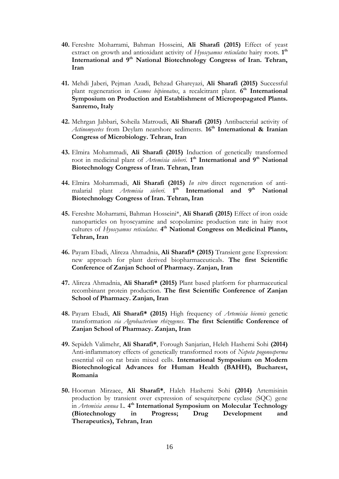- **40.** Fereshte Moharrami, Bahman Hosseini, **Ali Sharafi (2015)** Effect of yeast extract on growth and antioxidant activity of *Hyoscyamus reticulatus* hairy roots. 1<sup>th</sup> **International and 9th National Biotechnology Congress of Iran. Tehran, Iran**
- **41.** Mehdi Jaberi, Pejman Azadi, Behzad Ghareyazi, **Ali Sharafi (2015)** Successful plant regeneration in *Cosmos bipinnatus*, a recalcitrant plant. 6<sup>th</sup> International **Symposium on Production and Establishment of Micropropagated Plants. Sanremo, Italy**
- **42.** Mehrgan Jabbari, Soheila Matroudi, **Ali Sharafi (2015)** Antibacterial activity of *Actinomycetes* from Deylam nearshore sediments. **16th International & Iranian Congress of Microbiology. Tehran, Iran**
- **43.** Elmira Mohammadi, **Ali Sharafi (2015)** Induction of genetically transformed root in medicinal plant of *Artemisia sieberi*. 1<sup>th</sup> International and 9<sup>th</sup> National **Biotechnology Congress of Iran. Tehran, Iran**
- **44.** Elmira Mohammadi, **Ali Sharafi (2015)** *In vitro* direct regeneration of antimalarial plant *Artemisia sieberi*. **1 th International and 9th National Biotechnology Congress of Iran. Tehran, Iran**
- **45.** Fereshte Moharrami, Bahman Hosseini\*, **Ali Sharafi (2015)** Effect of iron oxide nanoparticles on hyoscyamine and scopolamine production rate in hairy root cultures of *Hyoscyamus reticulatus*. 4<sup>th</sup> National Congress on Medicinal Plants, **Tehran, Iran**
- **46.** Payam Ebadi, Alireza Ahmadnia, **Ali Sharafi\* (2015)** Transient gene Expression: new approach for plant derived biopharmaceuticals. **The first Scientific Conference of Zanjan School of Pharmacy. Zanjan, Iran**
- **47.** Alireza Ahmadnia, **Ali Sharafi\* (2015)** Plant based platform for pharmaceutical recombinant protein production. **The first Scientific Conference of Zanjan School of Pharmacy. Zanjan, Iran**
- **48.** Payam Ebadi, **Ali Sharafi\* (2015)** High frequency of *Artemisia biennis* genetic transformation *via Agrobacterium rhizogenes*. **The first Scientific Conference of Zanjan School of Pharmacy. Zanjan, Iran**
- **49.** Sepideh Valimehr, **Ali Sharafi\***, Forough Sanjarian, Heleh Hashemi Sohi **(2014)** Anti-inflammatory effects of genetically transformed roots of *Nepeta pogonosperma* essential oil on rat brain mixed cells. **International Symposium on Modern Biotechnological Advances for Human Health (BAHH), Bucharest, Romania**
- **50.** Hooman Mirzaee, **Ali Sharafi\***, Haleh Hashemi Sohi **(2014)** Artemisinin production by transient over expression of sesquiterpene cyclase (SQC) gene in *Artemisia annua* L. 4<sup>th</sup> International Symposium on Molecular Technology **(Biotechnology in Progress; Drug Development and Therapeutics), Tehran, Iran**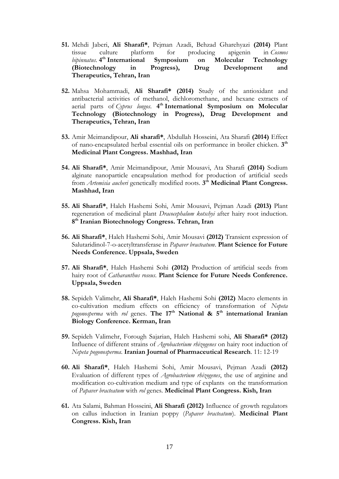- **51.** Mehdi Jaberi, **Ali Sharafi\***, Pejman Azadi, Behzad Gharehyazi **(2014)** Plant tissue culture platform for producing apigenin in *Cosmos*  bipinnatus. 4<sup>th</sup> International Symposium on Molecular Technology **(Biotechnology in Progress), Drug Development and Therapeutics, Tehran, Iran**
- **52.** Mahsa Mohammadi, **Ali Sharafi\* (2014)** Study of the antioxidant and antibacterial activities of methanol, dichloromethane, and hexane extracts of aerial parts of *Cyprus longos*. **4 th International Symposium on Molecular Technology (Biotechnology in Progress), Drug Development and Therapeutics, Tehran, Iran**
- **53.** Amir Meimandipour, **Ali sharafi\***, Abdullah Hosseini, Ata Sharafi **(2014)** Effect of nano-encapsulated herbal essential oils on performance in broiler chicken. **3 th Medicinal Plant Congress. Mashhad, Iran**
- **54. Ali Sharafi\***, Amir Meimandipour, Amir Mousavi, Ata Sharafi **(2014)** Sodium alginate nanoparticle encapsulation method for production of artificial seeds from Artemisia aucheri genetically modified roots. 3<sup>th</sup> Medicinal Plant Congress. **Mashhad, Iran**
- **55. Ali Sharafi\***, Haleh Hashemi Sohi, Amir Mousavi, Pejman Azadi **(2013)** Plant regeneration of medicinal plant *Dracocephalum kotschyi* after hairy root induction. **8 th Iranian Biotechnology Congress. Tehran, Iran**
- **56. Ali Sharafi\***, Haleh Hashemi Sohi, Amir Mousavi **(2012)** Transient expression of Salutaridinol-7-o-acetyltransferase in *Papaver bracteatum*. **Plant Science for Future Needs Conference. Uppsala, Sweden**
- **57. Ali Sharafi\***, Haleh Hashemi Sohi **(2012)** Production of artificial seeds from hairy root of *Catharanthus roseus*. **Plant Science for Future Needs Conference. Uppsala, Sweden**
- **58.** Sepideh Valimehr, **Ali Sharafi\***, Haleh Hashemi Sohi **(2012)** Macro elements in co-cultivation medium effects on efficiency of transformation of *Nepeta pogonosperma* with *rol* genes. **The 17th National & 5th international Iranian Biology Conference. Kerman, Iran**
- **59.** Sepideh Valimehr, Forough Sajarian, Haleh Hashemi sohi, **Ali Sharafi\* (2012)** Influence of different strains of *Agrobacterium rhizogenes* on hairy root induction of *Nepeta pogonosperma*. **Iranian Journal of Pharmaceutical Research**. 11: 12-19
- **60. Ali Sharafi\***, Haleh Hashemi Sohi, Amir Mousavi, Pejman Azadi **(2012)** Evaluation of different types of *Agrobacterium rhizogenes*, the use of arginine and modification co-cultivation medium and type of explants on the transformation of *Papaver bracteatum* with *rol* genes. **Medicinal Plant Congress. Kish, Iran**
- **61.** Ata Salami, Bahman Hosseini, **Ali Sharafi (2012)** Influence of growth regulators on callus induction in Iranian poppy (*Papaver bracteatum*). **Medicinal Plant Congress. Kish, Iran**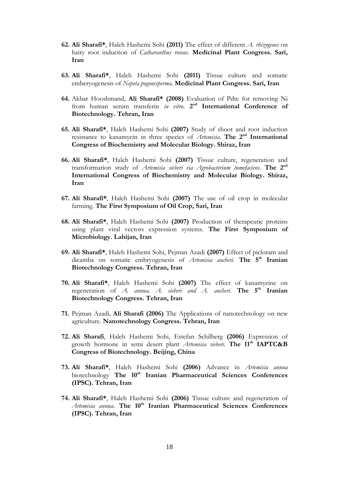- **62. Ali Sharafi\***, Haleh Hashemi Sohi **(2011)** The effect of different *A. rhizogenes* on hairy root induction of *Catharanthus roseus*. **Medicinal Plant Congress. Sari, Iran**
- **63. Ali Sharafi\***, Haleh Hashemi Sohi **(2011)** Tissue culture and somatic emberyogenesis of *Nepeta pogonesperma*. **Medicinal Plant Congress. Sari, Iran**
- **64.** Akbar Hooshmand, **Ali Sharafi\* (2008)** Evaluation of Pdtc for removing Ni from human serum transferin *in vitro*. 2<sup>nd</sup> International Conference of **Biotechnology. Tehran, Iran**
- **65. Ali Sharafi\***, Haleh Hashemi Sohi **(2007)** Study of shoot and root induction resistance to kanamycin in three species of *Artemisia*. The 2<sup>nd</sup> International **Congress of Biochemistry and Molecular Biology. Shiraz, Iran**
- **66. Ali Sharafi\***, Haleh Hashemi Sohi **(2007)** Tissue culture, regeneration and transformation study of *Artemisia sieberi via Agrobacterium tumefaciens.* **The 2nd International Congress of Biochemistry and Molecular Biology. Shiraz, Iran**
- **67. Ali Sharafi\***, Haleh Hashemi Sohi **(2007)** The use of oil crop in molecular farming. **The First Symposium of Oil Crop, Sari, Iran**
- **68. Ali Sharafi\***, Haleh Hashemi Sohi **(2007)** Production of therapeutic proteins using plant viral vectors expression systems. **The First Symposium of Microbiology. Lahijan, Iran**
- **69. Ali Sharafi\***, Haleh Hashemi Sohi, Pejman Azadi **(2007)** Effect of picloram and dicamba on somatic embryogenesis of *Artemisia aucheri*. **The 5th Iranian Biotechnology Congress. Tehran, Iran**
- **70. Ali Sharafi\***, Haleh Hashemi Sohi **(2007)** The effect of kanamycine on regeneration of *A. annua, A. sieberi and A. aucheri*. **The 5th Iranian Biotechnology Congress. Tehran, Iran**
- **71.** Pejman Azadi, **Ali Sharafi (2006)** The Applications of nanotechnology on new agriculture. **Nanotechnology Congress. Tehran, Iran**
- **72. Ali Sharafi**, Haleh Hashemi Sohi, Estefan Schilberg **(2006)** Expression of growth hormone in semi desert plant *Artemisia sieberi*. **The 11th IAPTC&B Congress of Biotechnology. Beijing, China**
- **73. Ali Sharafi\***, Haleh Hashemi Sohi **(2006)** Advance in *Artemisia annua* biotechnology **The 10th Iranian Pharmaceutical Sciences Conferences (IPSC). Tehran, Iran**
- **74. Ali Sharafi\***, Haleh Hashemi Sohi **(2006)** Tissue culture and regeneration of *Artemisia annua*. **The 10th Iranian Pharmaceutical Sciences Conferences (IPSC). Tehran, Iran**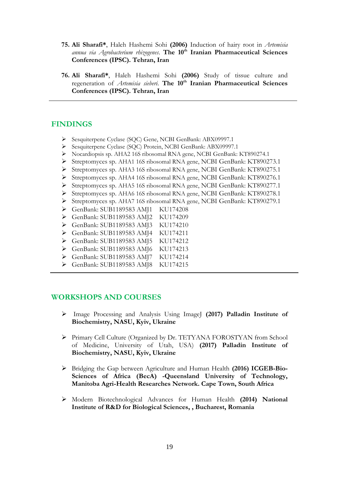- **75. Ali Sharafi\***, Haleh Hashemi Sohi **(2006)** Induction of hairy root in *Artemisia annua via Agrobacterium rhizogenes*. **The 10th Iranian Pharmaceutical Sciences Conferences (IPSC). Tehran, Iran**
- **76. Ali Sharafi\***, Haleh Hashemi Sohi **(2006)** Study of tissue culture and regeneration of *Artemisia sieberi*. **The 10th Iranian Pharmaceutical Sciences Conferences (IPSC). Tehran, Iran**

#### **FINDINGS**

- Sesquiterpene Cyclase (SQC) Gene, NCBI GenBank: ABX09997.1
- Sesquiterpene Cyclase (SQC) Protein, NCBI GenBank: ABX09997.1
- Nocardiopsis sp. AHA2 16S ribosomal RNA gene, NCBI GenBank: KT890274.1
- Streptomyces sp. AHA1 16S ribosomal RNA gene, NCBI GenBank: KT890273.1
- Streptomyces sp. AHA3 16S ribosomal RNA gene, NCBI GenBank: KT890275.1
- Streptomyces sp. AHA4 16S ribosomal RNA gene, NCBI GenBank: KT890276.1
- Streptomyces sp. AHA5 16S ribosomal RNA gene, NCBI GenBank: KT890277.1
- Streptomyces sp. AHA6 16S ribosomal RNA gene, NCBI GenBank: KT890278.1
- Streptomyces sp. AHA7 16S ribosomal RNA gene, NCBI GenBank: KT890279.1
- GenBank: SUB1189583 AMJ1 KU174208
- GenBank: SUB1189583 AMJ2 KU174209
- GenBank: SUB1189583 AMJ3 KU174210
- GenBank: SUB1189583 AMJ4 KU174211
- GenBank: SUB1189583 AMJ5 KU174212
- GenBank: SUB1189583 AMJ6 KU174213
- GenBank: SUB1189583 AMJ7 KU174214
- GenBank: SUB1189583 AMJ8 KU174215

### **WORKSHOPS AND COURSES**

- Image Processing and Analysis Using ImageJ **(2017) Palladin Institute of Biochemistry, NASU, Kyiv, Ukraine**
- Primary Cell Culture (Organized by Dr. TETYANA FOROSTYAN from School of Medicine, University of Utah, USA) **(2017) Palladin Institute of Biochemistry, NASU, Kyiv, Ukraine**
- Bridging the Gap between Agriculture and Human Health **(2016) ICGEB-Bio-Sciences of Africa (BecA) -Queensland University of Technology, Manitoba Agri-Health Researches Network. Cape Town, South Africa**
- Modern Biotechnological Advances for Human Health **(2014) National Institute of R&D for Biological Sciences, , Bucharest, Romania**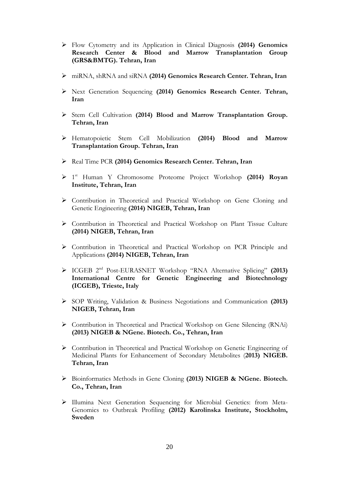- Flow Cytometry and its Application in Clinical Diagnosis **(2014) Genomics Research Center & Blood and Marrow Transplantation Group (GRS&BMTG). Tehran, Iran**
- miRNA, shRNA and siRNA **(2014) Genomics Research Center. Tehran, Iran**
- Next Generation Sequencing **(2014) Genomics Research Center. Tehran, Iran**
- Stem Cell Cultivation **(2014) Blood and Marrow Transplantation Group. Tehran, Iran**
- Hematopoietic Stem Cell Mobilization **(2014) Blood and Marrow Transplantation Group. Tehran, Iran**
- Real Time PCR **(2014) Genomics Research Center. Tehran, Iran**
- 1 st Human Y Chromosome Proteome Project Workshop **(2014) Royan Institute, Tehran, Iran**
- Contribution in Theoretical and Practical Workshop on Gene Cloning and Genetic Engineering **(2014) NIGEB, Tehran, Iran**
- Contribution in Theoretical and Practical Workshop on Plant Tissue Culture **(2014) NIGEB, Tehran, Iran**
- Contribution in Theoretical and Practical Workshop on PCR Principle and Applications **(2014) NIGEB, Tehran, Iran**
- ICGEB 2nd Post-EURASNET Workshop "RNA Alternative Splicing" **(2013) International Centre for Genetic Engineering and Biotechnology (ICGEB), Trieste, Italy**
- SOP Writing, Validation & Business Negotiations and Communication **(2013) NIGEB, Tehran, Iran**
- Contribution in Theoretical and Practical Workshop on Gene Silencing (RNAi) **(2013) NIGEB & NGene. Biotech. Co., Tehran, Iran**
- Contribution in Theoretical and Practical Workshop on Genetic Engineering of Medicinal Plants for Enhancement of Secondary Metabolites (**2013) NIGEB. Tehran, Iran**
- Bioinformatics Methods in Gene Cloning **(2013) NIGEB & NGene. Biotech. Co., Tehran, Iran**
- Illumina Next Generation Sequencing for Microbial Genetics: from Meta-Genomics to Outbreak Profiling **(2012) Karolinska Institute, Stockholm, Sweden**